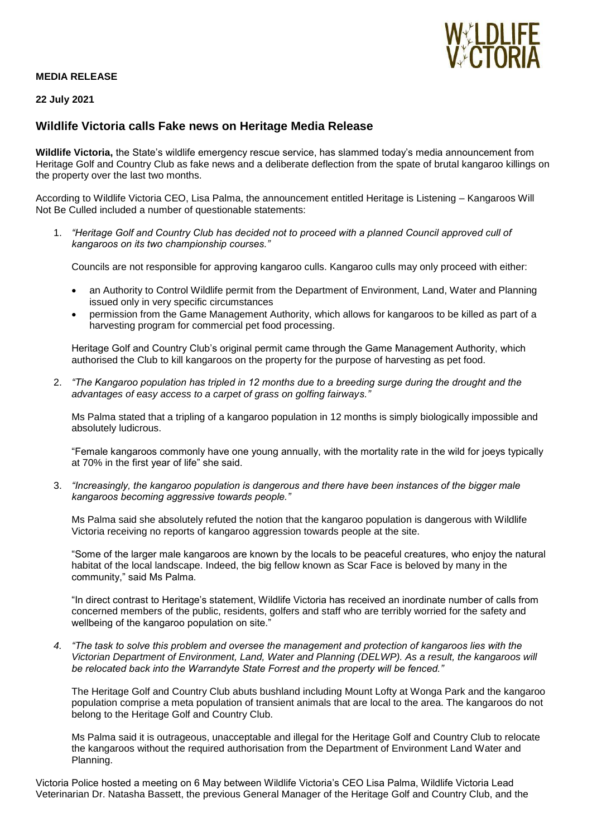

## **MEDIA RELEASE**

## **22 July 2021**

# **Wildlife Victoria calls Fake news on Heritage Media Release**

**Wildlife Victoria,** the State's wildlife emergency rescue service, has slammed today's media announcement from Heritage Golf and Country Club as fake news and a deliberate deflection from the spate of brutal kangaroo killings on the property over the last two months.

According to Wildlife Victoria CEO, Lisa Palma, the announcement entitled Heritage is Listening – Kangaroos Will Not Be Culled included a number of questionable statements:

1. *"Heritage Golf and Country Club has decided not to proceed with a planned Council approved cull of kangaroos on its two championship courses."*

Councils are not responsible for approving kangaroo culls. Kangaroo culls may only proceed with either:

- an Authority to Control Wildlife permit from the Department of Environment, Land, Water and Planning issued only in very specific circumstances
- permission from the Game Management Authority, which allows for kangaroos to be killed as part of a harvesting program for commercial pet food processing.

Heritage Golf and Country Club's original permit came through the Game Management Authority, which authorised the Club to kill kangaroos on the property for the purpose of harvesting as pet food.

2. *"The Kangaroo population has tripled in 12 months due to a breeding surge during the drought and the advantages of easy access to a carpet of grass on golfing fairways."*

Ms Palma stated that a tripling of a kangaroo population in 12 months is simply biologically impossible and absolutely ludicrous.

"Female kangaroos commonly have one young annually, with the mortality rate in the wild for joeys typically at 70% in the first year of life" she said.

3. *"Increasingly, the kangaroo population is dangerous and there have been instances of the bigger male kangaroos becoming aggressive towards people."*

Ms Palma said she absolutely refuted the notion that the kangaroo population is dangerous with Wildlife Victoria receiving no reports of kangaroo aggression towards people at the site.

"Some of the larger male kangaroos are known by the locals to be peaceful creatures, who enjoy the natural habitat of the local landscape. Indeed, the big fellow known as Scar Face is beloved by many in the community," said Ms Palma.

"In direct contrast to Heritage's statement, Wildlife Victoria has received an inordinate number of calls from concerned members of the public, residents, golfers and staff who are terribly worried for the safety and wellbeing of the kangaroo population on site."

*4. "The task to solve this problem and oversee the management and protection of kangaroos lies with the Victorian Department of Environment, Land, Water and Planning (DELWP). As a result, the kangaroos will be relocated back into the Warrandyte State Forrest and the property will be fenced."* 

The Heritage Golf and Country Club abuts bushland including Mount Lofty at Wonga Park and the kangaroo population comprise a meta population of transient animals that are local to the area. The kangaroos do not belong to the Heritage Golf and Country Club.

Ms Palma said it is outrageous, unacceptable and illegal for the Heritage Golf and Country Club to relocate the kangaroos without the required authorisation from the Department of Environment Land Water and Planning.

Victoria Police hosted a meeting on 6 May between Wildlife Victoria's CEO Lisa Palma, Wildlife Victoria Lead Veterinarian Dr. Natasha Bassett, the previous General Manager of the Heritage Golf and Country Club, and the